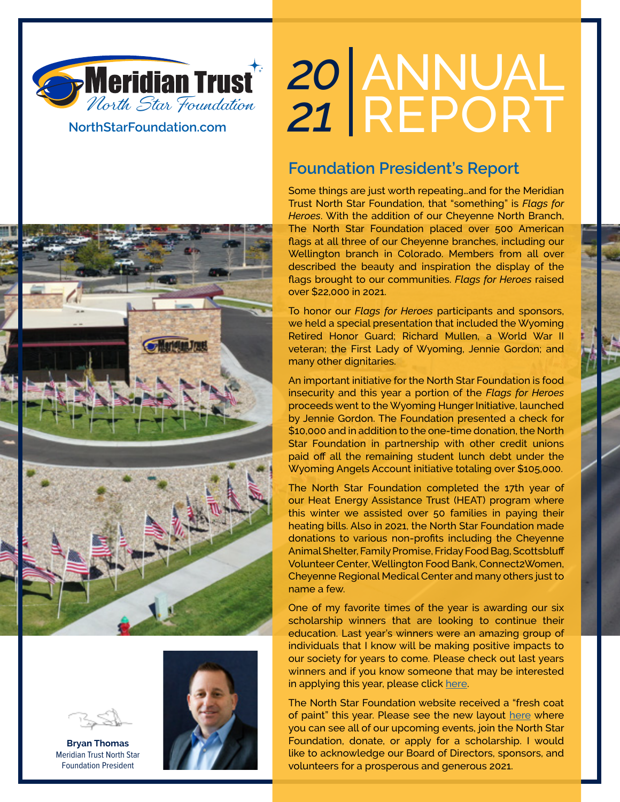

**NorthStarFoundation.com**

# ANNUAL REPORT *20*

### **Foundation President's Report**

Some things are just worth repeating…and for the Meridian Trust North Star Foundation, that "something" is *Flags for Heroes*. With the addition of our Cheyenne North Branch, The North Star Foundation placed over 500 American flags at all three of our Cheyenne branches, including our Wellington branch in Colorado. Members from all over described the beauty and inspiration the display of the flags brought to our communities. *Flags for Heroes* raised over \$22,000 in 2021.

To honor our *Flags for Heroes* participants and sponsors, we held a special presentation that included the Wyoming Retired Honor Guard; Richard Mullen, a World War II veteran; the First Lady of Wyoming, Jennie Gordon; and many other dignitaries.

An important initiative for the North Star Foundation is food insecurity and this year a portion of the *Flags for Heroes* proceeds went to the Wyoming Hunger Initiative, launched by Jennie Gordon. The Foundation presented a check for \$10,000 and in addition to the one-time donation, the North Star Foundation in partnership with other credit unions paid off all the remaining student lunch debt under the Wyoming Angels Account initiative totaling over \$105,000.

The North Star Foundation completed the 17th year of our Heat Energy Assistance Trust (HEAT) program where this winter we assisted over 50 families in paying their heating bills. Also in 2021, the North Star Foundation made donations to various non-profits including the Cheyenne Animal Shelter, Family Promise, Friday Food Bag, Scottsbluff Volunteer Center, Wellington Food Bank, Connect2Women, Cheyenne Regional Medical Center and many others just to name a few.

One of my favorite times of the year is awarding our six scholarship winners that are looking to continue their education. Last year's winners were an amazing group of individuals that I know will be making positive impacts to our society for years to come. Please check out last years winners and if you know someone that may be interested in applying this year, please click [here](https://www.northstarfoundation.com/scholarships).

The North Star Foundation website received a "fresh coat of paint" this year. Please see the new layout [here](https://www.northstarfoundation.com/) where you can see all of our upcoming events, join the North Star Foundation, donate, or apply for a scholarship. I would like to acknowledge our Board of Directors, sponsors, and volunteers for a prosperous and generous 2021.





**Bryan Thomas** Meridian Trust North Star Foundation President